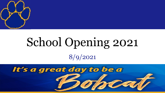

# School Opening 2021 8/9/2021

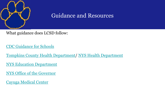

#### Guidance and Resources

What guidance does LCSD follow:

[CDC Guidance for Schools](https://www.cdc.gov/coronavirus/2019-ncov/community/schools-childcare/k-12-guidance.html)

[Tompkins County Health Department/](https://tompkinscountyny.gov/health) [NYS Health Department](https://www.health.ny.gov/)

[NYS Education Department](http://www.nysed.gov/coronavirus)

[NYS Office of the Governor](https://covid19vaccine.health.ny.gov/)

[Cayuga Medical Center](https://www.cayugamed.org/coronavirus/)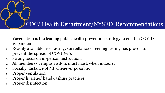#### CDC/ Health Department/NYSED Recommendations

- 1. Vaccination is the leading public health prevention strategy to end the COVID-19 pandemic.
- 2. Readily available free testing, surveillance screening testing has proven to prevent the spread of COVID-19.
- 3. Strong focus on in-person instruction.
- 4. All members/ campus visitors must mask when indoors.
- 5. Socially distance of 3ft whenever possible.
- 6. Proper ventilation.
- 7. Proper hygiene/ handwashing practices.
- 8. Proper disinfection.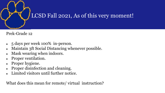

Prek-Grade 12

- 5 days per week 100% in-person.
- Maintain 3ft Social Distancing whenever possible.
- Mask wearing when indoors.
- Proper ventilation.
- Proper hygiene.
- Proper disinfection and cleaning.
- Limited visitors until further notice.

What does this mean for remote/ virtual instruction?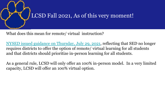

What does this mean for remote/ virtual instruction?

[NYSED issued guidance on Thursday, July 29, 2021](http://www.nysed.gov/common/nysed/files/programs/coronavirus/cdc-aap-guidance-school-opening-2021-22.pdf), reflecting that SED no longer requires districts to offer the option of remote/ virtual learning for all students and that districts should prioritize in-person learning for all students.

As a general rule, LCSD will only offer an 100% in-person model. In a very limited capacity, LCSD will offer an 100% virtual option.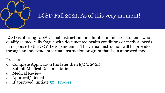

LCSD is offering 100% virtual instruction for a limited number of students who qualify as medically fragile with documented health conditions or medical needs in response to the COVID-19 pandemic. The virtual instruction will be provided through an independent virtual instruction program that is an approved model.

Process

- 1. Complete Application (no later than 8/23/2021)
- 2. Submit Medical Documentation
- 3. Medical Review
- 4. Approval/ Denial
- 5. If approved, initiate [504 Process](https://www.lansingschools.org/site/handlers/filedownload.ashx?moduleinstanceid=59&dataid=41&FileName=LCSD%20SECTION%20504%20Administrative%20Regulations.pdf)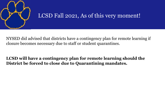

NYSED did advised that districts have a contingency plan for remote learning if closure becomes necessary due to staff or student quarantines.

#### **LCSD will have a contingency plan for remote learning should the District be forced to close due to Quarantining mandates.**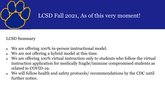

#### LCSD Summary

- We are offering 100% in-person instructional model.
- We are not offering a hybrid model at this time.
- We are offering 100% virtual instruction only to students who follow the virtual instruction application for medically fragile/immune compromised students as related to COVID-19.
- We will follow health and safety protocols/ recommendations by the CDC until further notice.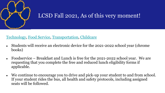

#### [Technology,](https://www.lansingschools.org/domain/28) [Food Service](https://www.lansingschools.org/domain/20), [Transportation,](https://www.lansingschools.org/domain/23) [Childcare](https://www.lansingschools.org/Page/88)

- Students will receive an electronic device for the 2021-2022 school year (chrome books)
- Foodservice Breakfast and Lunch is free for the 2021-2022 school year. We are requesting that you complete the free and reduced lunch eligibility forms if applicable.
- We continue to encourage you to drive and pick-up your student to and from school. If your student rides the bus, all health and safety protocols, including assigned seats will be followed.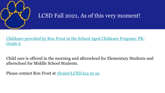

[Childcare provided by Ron Frost in the School Aged Childcare Program, PK-](https://www.lansingschools.org/Page/88)Grade 6

Child care is offered in the morning and afterschool for Elementary Students and afterschool for Middle School Students.

Please contact Ron Frost at [rfrost@LCSD.k12.ny.us](mailto:rfrost@LCSD.k12.ny.us)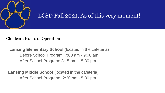

#### Childcare Hours of Operation

**Lansing Elementary School** (located in the cafeteria) Before School Program: 7:00 am - 9:00 am After School Program: 3:15 pm - 5:30 pm

**Lansing Middle School** (located in the cafeteria) After School Program: 2:30 pm - 5:30 pm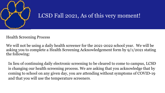

#### Health Screening Process

We will not be using a daily health screener for the 2021-2022 school year. We will be asking you to complete a Health Screening Acknowledgement form by 9/1/2021 stating the following:

In lieu of continuing daily electronic screening to be cleared to come to campus, LCSD is changing our health screening process. We are asking that you acknowledge that by coming to school on any given day, you are attending without symptoms of COVID-19 and that you will use the temperature screeners.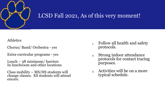

#### Athletics

Chorus/ Band/ Orchestra - yes

Extra-curricular programs - yes

Lunch – 3ft minimum/ barriers In lunchroom and other locations

Class mobility – MS/HS students will change classes. ES students will attend encore.

- 1. Follow all health and safety protocols.
- 2. Strong indoor attendance protocols for contact tracing purposes.
- 3. Activities will be on a more typical schedule.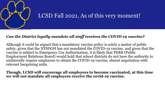

#### *Can the District legally mandate all staff receives the COVID-19 vaccine?*

Although it could be argued that a mandatory vaccine policy is solely a matter of public safety, given that the NYSDOH has not mandated the COVID-19 vaccine, and given that the vaccine is subject to Emergency Use Authorization, it is likely that PERB (Public Employment Relations Board) would hold that school districts do not have the authority to unilaterally require employees to obtain the COVID-19 vaccine, absent negotiation with relevant bargaining units.

**Though, LCSD will encourage all employees to become vaccinated, at this time we will not mandate all employees receive the covid-19 vaccine.**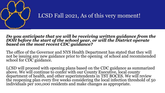

#### *Do you anticipate that we will be receiving written guidance from the DOH before the start of the school year, or will the District operate based on the most recent CDC guidance?*

The office of the Governor and NYS Health Department has stated that they will not be issuing any new guidance prior to the opening of school and recommended school for CDC guidance.

LCSD will proceed with opening plans based on the CDC guidance as summarized above. We will continue to confer with our County Executive, local county department of health, and other superintendents in TST BOCES. We will review the reopening plan every five weeks considering the local infection threshold of 50 individuals per 100,000 residents and make changes as appropriate.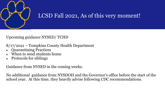

#### Upcoming guidance NYSED/ TCHD

- 8/17/2021 Tompkins County Health Department
- Quarantining Practices
- When to send students home
- Protocols for siblings

Guidance from NYSED in the coming weeks.

No additional guidance from NYSDOH and the Governor's office before the start of the school year. At this time, they heavily advise following CDC recommendations.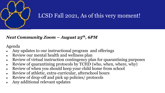

#### *Next Community Zoom – August 25th, 6PM*

Agenda

- Any updates to our instructional program and offerings
- Review our mental health and wellness plan
- Review of virtual instruction contingency plan for quarantining purposes
- Review of quarantining protocols by  $TCH\overline{D}$  (who, when, where, why)
- Review of when you should keep your child home from school
- Review of athletic, extra-curricular, afterschool hours
- Review of drop-off and pick up policies/ protocols
- Any additional relevant updates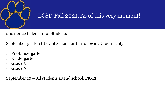

2021-2022 Calendar for Students

September 9 – First Day of School for the following Grades Only

- Pre-kindergarten
- Kindergarten
- Grade 5
- Grade 9

September 10 – All students attend school, PK-12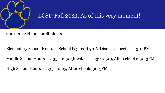

2021-2022 Hours for Students

Elementary School Hours – School begins at 9:06, Dismissal begins at 3:15PM

Middle School Hours – 7:35 – 2:30 (breakfasts 7:30-7:50), Afterschool 2:30-3PM

High School Hours  $-7:35 - 2:25$ , Afterschool2:30-3PM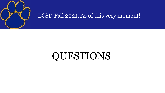

## QUESTIONS